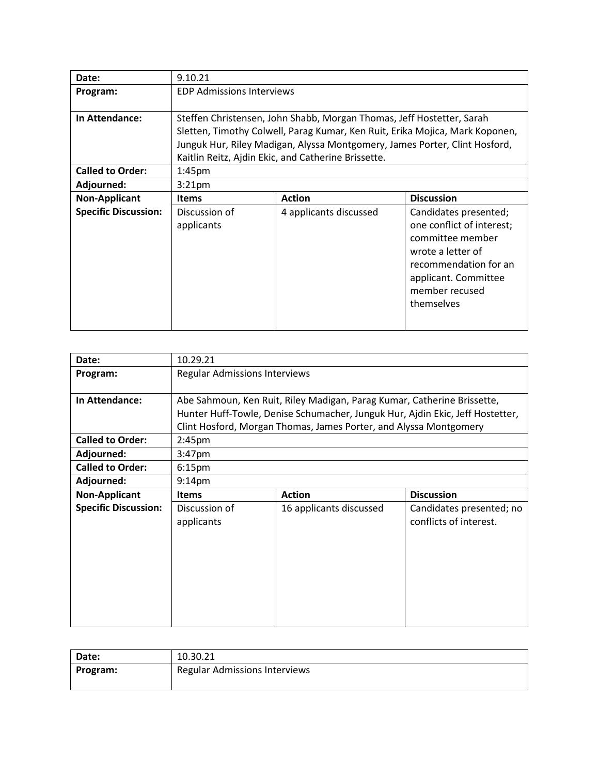| Date:                       | 9.10.21                                                               |                                                                              |                           |  |  |
|-----------------------------|-----------------------------------------------------------------------|------------------------------------------------------------------------------|---------------------------|--|--|
| Program:                    | <b>EDP Admissions Interviews</b>                                      |                                                                              |                           |  |  |
|                             |                                                                       |                                                                              |                           |  |  |
| In Attendance:              | Steffen Christensen, John Shabb, Morgan Thomas, Jeff Hostetter, Sarah |                                                                              |                           |  |  |
|                             |                                                                       | Sletten, Timothy Colwell, Parag Kumar, Ken Ruit, Erika Mojica, Mark Koponen, |                           |  |  |
|                             |                                                                       | Junguk Hur, Riley Madigan, Alyssa Montgomery, James Porter, Clint Hosford,   |                           |  |  |
|                             |                                                                       | Kaitlin Reitz, Ajdin Ekic, and Catherine Brissette.                          |                           |  |  |
| <b>Called to Order:</b>     | 1:45 <sub>pm</sub>                                                    |                                                                              |                           |  |  |
| Adjourned:                  | 3:21 <sub>pm</sub>                                                    |                                                                              |                           |  |  |
| <b>Non-Applicant</b>        | <b>Items</b>                                                          | <b>Discussion</b><br><b>Action</b>                                           |                           |  |  |
| <b>Specific Discussion:</b> | Discussion of                                                         | 4 applicants discussed                                                       | Candidates presented;     |  |  |
|                             | applicants                                                            |                                                                              | one conflict of interest; |  |  |
|                             | committee member                                                      |                                                                              |                           |  |  |
|                             | wrote a letter of                                                     |                                                                              |                           |  |  |
|                             | recommendation for an                                                 |                                                                              |                           |  |  |
|                             |                                                                       | applicant. Committee                                                         |                           |  |  |
|                             |                                                                       |                                                                              | member recused            |  |  |
|                             |                                                                       |                                                                              | themselves                |  |  |
|                             |                                                                       |                                                                              |                           |  |  |
|                             |                                                                       |                                                                              |                           |  |  |

| Date:                       | 10.29.21                                                                |                                                                               |  |
|-----------------------------|-------------------------------------------------------------------------|-------------------------------------------------------------------------------|--|
| Program:                    | Regular Admissions Interviews                                           |                                                                               |  |
|                             |                                                                         |                                                                               |  |
| In Attendance:              | Abe Sahmoun, Ken Ruit, Riley Madigan, Parag Kumar, Catherine Brissette, |                                                                               |  |
|                             |                                                                         | Hunter Huff-Towle, Denise Schumacher, Junguk Hur, Ajdin Ekic, Jeff Hostetter, |  |
|                             |                                                                         | Clint Hosford, Morgan Thomas, James Porter, and Alyssa Montgomery             |  |
| <b>Called to Order:</b>     | 2:45 <sub>pm</sub>                                                      |                                                                               |  |
| Adjourned:                  | 3:47 <sub>pm</sub>                                                      |                                                                               |  |
| <b>Called to Order:</b>     | 6:15 <sub>pm</sub>                                                      |                                                                               |  |
| Adjourned:                  | 9:14 <sub>pm</sub>                                                      |                                                                               |  |
| <b>Non-Applicant</b>        | <b>Discussion</b><br><b>Action</b><br><b>Items</b>                      |                                                                               |  |
| <b>Specific Discussion:</b> | Discussion of                                                           | 16 applicants discussed                                                       |  |

| Date:    | 10.30.21                             |
|----------|--------------------------------------|
| Program: | <b>Regular Admissions Interviews</b> |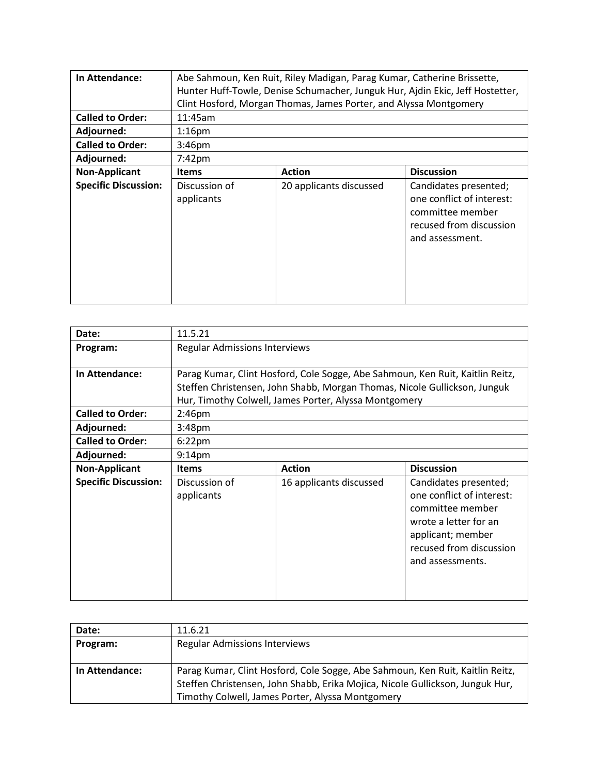| In Attendance:<br><b>Called to Order:</b><br>Adjourned:<br><b>Called to Order:</b> | Abe Sahmoun, Ken Ruit, Riley Madigan, Parag Kumar, Catherine Brissette,<br>Hunter Huff-Towle, Denise Schumacher, Junguk Hur, Ajdin Ekic, Jeff Hostetter,<br>Clint Hosford, Morgan Thomas, James Porter, and Alyssa Montgomery<br>11:45am<br>$1:16$ pm |                         |                                                                                                                      |
|------------------------------------------------------------------------------------|-------------------------------------------------------------------------------------------------------------------------------------------------------------------------------------------------------------------------------------------------------|-------------------------|----------------------------------------------------------------------------------------------------------------------|
| Adjourned:                                                                         | 3:46pm                                                                                                                                                                                                                                                |                         |                                                                                                                      |
| <b>Non-Applicant</b>                                                               | $7:42 \text{pm}$<br><b>Discussion</b><br><b>Action</b><br><b>Items</b>                                                                                                                                                                                |                         |                                                                                                                      |
| <b>Specific Discussion:</b>                                                        | Discussion of<br>applicants                                                                                                                                                                                                                           | 20 applicants discussed | Candidates presented;<br>one conflict of interest:<br>committee member<br>recused from discussion<br>and assessment. |

| Date:                       | 11.5.21                                                                       |                                                                           |                       |
|-----------------------------|-------------------------------------------------------------------------------|---------------------------------------------------------------------------|-----------------------|
| Program:                    | <b>Regular Admissions Interviews</b>                                          |                                                                           |                       |
|                             |                                                                               |                                                                           |                       |
| In Attendance:              | Parag Kumar, Clint Hosford, Cole Sogge, Abe Sahmoun, Ken Ruit, Kaitlin Reitz, |                                                                           |                       |
|                             |                                                                               | Steffen Christensen, John Shabb, Morgan Thomas, Nicole Gullickson, Junguk |                       |
|                             |                                                                               | Hur, Timothy Colwell, James Porter, Alyssa Montgomery                     |                       |
| <b>Called to Order:</b>     | 2:46pm                                                                        |                                                                           |                       |
| Adjourned:                  | 3:48 <sub>pm</sub>                                                            |                                                                           |                       |
| <b>Called to Order:</b>     | $6:22$ pm                                                                     |                                                                           |                       |
| Adjourned:                  | 9:14 <sub>pm</sub>                                                            |                                                                           |                       |
| <b>Non-Applicant</b>        | <b>Action</b><br><b>Discussion</b><br><b>Items</b>                            |                                                                           |                       |
| <b>Specific Discussion:</b> | Discussion of<br>applicants                                                   | 16 applicants discussed                                                   | Candidates presented; |

| Date:          | 11.6.21                                                                       |
|----------------|-------------------------------------------------------------------------------|
| Program:       | <b>Regular Admissions Interviews</b>                                          |
|                |                                                                               |
| In Attendance: | Parag Kumar, Clint Hosford, Cole Sogge, Abe Sahmoun, Ken Ruit, Kaitlin Reitz, |
|                | Steffen Christensen, John Shabb, Erika Mojica, Nicole Gullickson, Junguk Hur, |
|                | Timothy Colwell, James Porter, Alyssa Montgomery                              |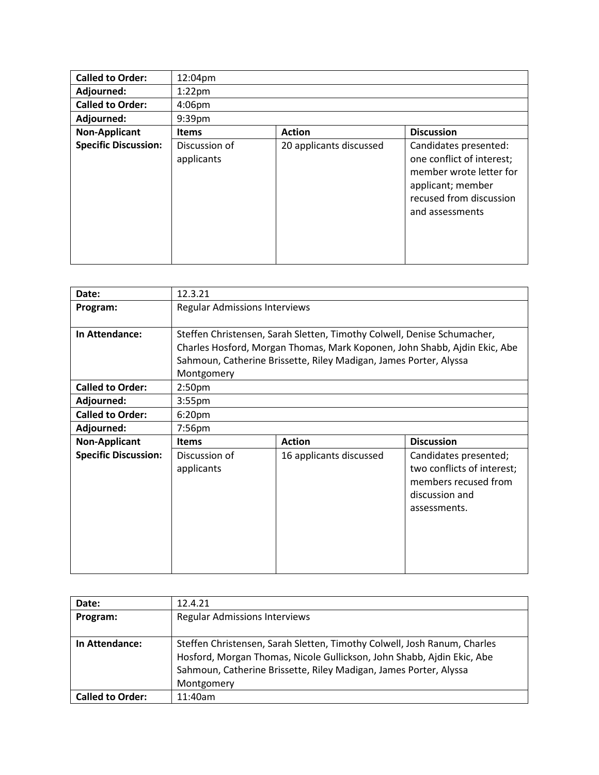| <b>Called to Order:</b>     | 12:04pm                     |                         |                                                                                                                                                  |
|-----------------------------|-----------------------------|-------------------------|--------------------------------------------------------------------------------------------------------------------------------------------------|
| Adjourned:                  | $1:22$ pm                   |                         |                                                                                                                                                  |
| <b>Called to Order:</b>     | 4:06pm                      |                         |                                                                                                                                                  |
| Adjourned:                  | 9:39pm                      |                         |                                                                                                                                                  |
| <b>Non-Applicant</b>        | <b>Items</b>                | <b>Action</b>           | <b>Discussion</b>                                                                                                                                |
| <b>Specific Discussion:</b> | Discussion of<br>applicants | 20 applicants discussed | Candidates presented:<br>one conflict of interest;<br>member wrote letter for<br>applicant; member<br>recused from discussion<br>and assessments |

| Date:                       | 12.3.21                                                                                                                                                                                                                                 |                         |                                                                                                               |
|-----------------------------|-----------------------------------------------------------------------------------------------------------------------------------------------------------------------------------------------------------------------------------------|-------------------------|---------------------------------------------------------------------------------------------------------------|
| Program:                    | <b>Regular Admissions Interviews</b>                                                                                                                                                                                                    |                         |                                                                                                               |
| In Attendance:              | Steffen Christensen, Sarah Sletten, Timothy Colwell, Denise Schumacher,<br>Charles Hosford, Morgan Thomas, Mark Koponen, John Shabb, Ajdin Ekic, Abe<br>Sahmoun, Catherine Brissette, Riley Madigan, James Porter, Alyssa<br>Montgomery |                         |                                                                                                               |
| <b>Called to Order:</b>     | 2:50 <sub>pm</sub>                                                                                                                                                                                                                      |                         |                                                                                                               |
| Adjourned:                  | 3:55 <sub>pm</sub>                                                                                                                                                                                                                      |                         |                                                                                                               |
| <b>Called to Order:</b>     | 6:20 <sub>pm</sub>                                                                                                                                                                                                                      |                         |                                                                                                               |
| Adjourned:                  | $7:56$ pm                                                                                                                                                                                                                               |                         |                                                                                                               |
| Non-Applicant               | <b>Action</b><br><b>Discussion</b><br><b>Items</b>                                                                                                                                                                                      |                         |                                                                                                               |
| <b>Specific Discussion:</b> | Discussion of<br>applicants                                                                                                                                                                                                             | 16 applicants discussed | Candidates presented;<br>two conflicts of interest;<br>members recused from<br>discussion and<br>assessments. |

| Date:                   | 12.4.21                                                                  |
|-------------------------|--------------------------------------------------------------------------|
| Program:                | <b>Regular Admissions Interviews</b>                                     |
|                         |                                                                          |
| In Attendance:          | Steffen Christensen, Sarah Sletten, Timothy Colwell, Josh Ranum, Charles |
|                         | Hosford, Morgan Thomas, Nicole Gullickson, John Shabb, Ajdin Ekic, Abe   |
|                         | Sahmoun, Catherine Brissette, Riley Madigan, James Porter, Alyssa        |
|                         | Montgomery                                                               |
| <b>Called to Order:</b> | 11:40am                                                                  |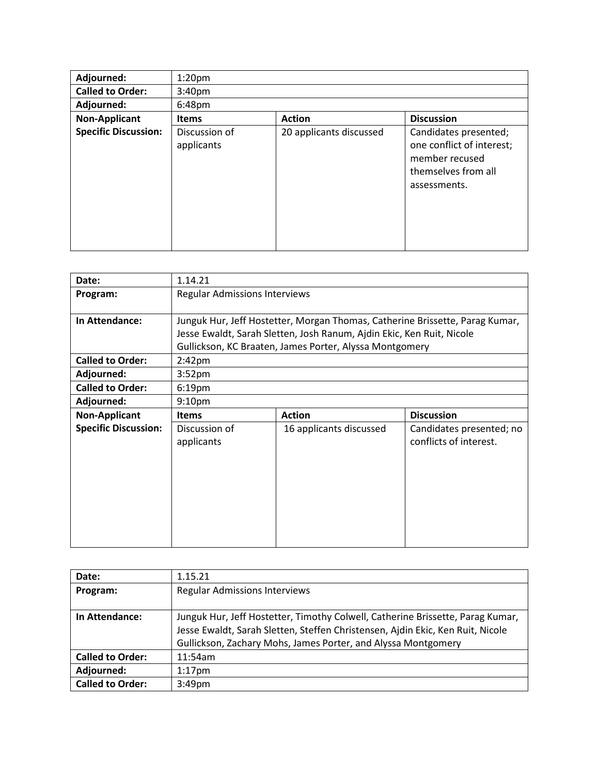| Adjourned:                  | 1:20 <sub>pm</sub>          |                         |                                                                                                             |
|-----------------------------|-----------------------------|-------------------------|-------------------------------------------------------------------------------------------------------------|
| <b>Called to Order:</b>     | 3:40 <sub>pm</sub>          |                         |                                                                                                             |
| Adjourned:                  | 6:48pm                      |                         |                                                                                                             |
| <b>Non-Applicant</b>        | <b>Items</b>                | <b>Action</b>           | <b>Discussion</b>                                                                                           |
| <b>Specific Discussion:</b> | Discussion of<br>applicants | 20 applicants discussed | Candidates presented;<br>one conflict of interest;<br>member recused<br>themselves from all<br>assessments. |

| Date:                       | 1.14.21                                                                      |                                                                       |                                                    |
|-----------------------------|------------------------------------------------------------------------------|-----------------------------------------------------------------------|----------------------------------------------------|
| Program:                    | <b>Regular Admissions Interviews</b>                                         |                                                                       |                                                    |
|                             |                                                                              |                                                                       |                                                    |
| In Attendance:              | Junguk Hur, Jeff Hostetter, Morgan Thomas, Catherine Brissette, Parag Kumar, |                                                                       |                                                    |
|                             |                                                                              | Jesse Ewaldt, Sarah Sletten, Josh Ranum, Ajdin Ekic, Ken Ruit, Nicole |                                                    |
|                             |                                                                              | Gullickson, KC Braaten, James Porter, Alyssa Montgomery               |                                                    |
| <b>Called to Order:</b>     | $2:42$ pm                                                                    |                                                                       |                                                    |
| Adjourned:                  | 3:52 <sub>pm</sub>                                                           |                                                                       |                                                    |
| <b>Called to Order:</b>     | 6:19 <sub>pm</sub>                                                           |                                                                       |                                                    |
| Adjourned:                  | 9:10 <sub>pm</sub>                                                           |                                                                       |                                                    |
| <b>Non-Applicant</b>        | <b>Action</b><br><b>Discussion</b><br><b>Items</b>                           |                                                                       |                                                    |
| <b>Specific Discussion:</b> | Discussion of<br>applicants                                                  | 16 applicants discussed                                               | Candidates presented; no<br>conflicts of interest. |
|                             |                                                                              |                                                                       |                                                    |

| Date:                   | 1.15.21                                                                                                                                                                                                                           |
|-------------------------|-----------------------------------------------------------------------------------------------------------------------------------------------------------------------------------------------------------------------------------|
| Program:                | <b>Regular Admissions Interviews</b>                                                                                                                                                                                              |
| In Attendance:          | Junguk Hur, Jeff Hostetter, Timothy Colwell, Catherine Brissette, Parag Kumar,<br>Jesse Ewaldt, Sarah Sletten, Steffen Christensen, Ajdin Ekic, Ken Ruit, Nicole<br>Gullickson, Zachary Mohs, James Porter, and Alyssa Montgomery |
| <b>Called to Order:</b> | 11:54am                                                                                                                                                                                                                           |
| Adjourned:              | $1:17$ pm                                                                                                                                                                                                                         |
| <b>Called to Order:</b> | 3:49 <sub>pm</sub>                                                                                                                                                                                                                |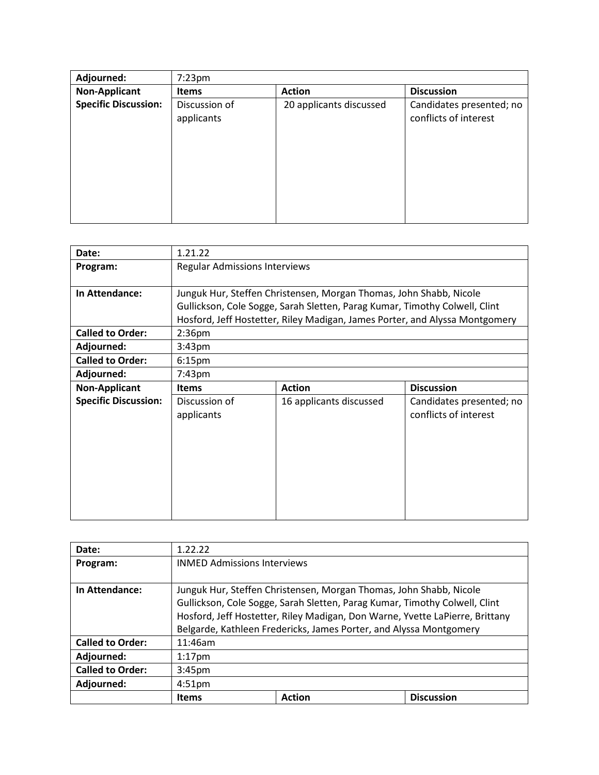| Adjourned:                  | $7:23$ pm                   |                         |                                                   |
|-----------------------------|-----------------------------|-------------------------|---------------------------------------------------|
| <b>Non-Applicant</b>        | <b>Items</b>                | <b>Action</b>           | <b>Discussion</b>                                 |
| <b>Specific Discussion:</b> | Discussion of<br>applicants | 20 applicants discussed | Candidates presented; no<br>conflicts of interest |
|                             |                             |                         |                                                   |

| Date:                       | 1.21.22                                                                                                                                                                                                                         |                         |                          |
|-----------------------------|---------------------------------------------------------------------------------------------------------------------------------------------------------------------------------------------------------------------------------|-------------------------|--------------------------|
| Program:                    | <b>Regular Admissions Interviews</b>                                                                                                                                                                                            |                         |                          |
| In Attendance:              | Junguk Hur, Steffen Christensen, Morgan Thomas, John Shabb, Nicole<br>Gullickson, Cole Sogge, Sarah Sletten, Parag Kumar, Timothy Colwell, Clint<br>Hosford, Jeff Hostetter, Riley Madigan, James Porter, and Alyssa Montgomery |                         |                          |
| <b>Called to Order:</b>     | 2:36 <sub>pm</sub>                                                                                                                                                                                                              |                         |                          |
| Adjourned:                  | 3:43 <sub>pm</sub>                                                                                                                                                                                                              |                         |                          |
| <b>Called to Order:</b>     | 6:15 <sub>pm</sub>                                                                                                                                                                                                              |                         |                          |
| Adjourned:                  | $7:43$ pm                                                                                                                                                                                                                       |                         |                          |
| <b>Non-Applicant</b>        | <b>Items</b>                                                                                                                                                                                                                    | <b>Action</b>           | <b>Discussion</b>        |
| <b>Specific Discussion:</b> | Discussion of                                                                                                                                                                                                                   | 16 applicants discussed | Candidates presented; no |

| Date:                   | 1.22.22                                                                                                                                                                                                                                                                                                |               |  |                   |
|-------------------------|--------------------------------------------------------------------------------------------------------------------------------------------------------------------------------------------------------------------------------------------------------------------------------------------------------|---------------|--|-------------------|
| Program:                | <b>INMED Admissions Interviews</b>                                                                                                                                                                                                                                                                     |               |  |                   |
| In Attendance:          | Junguk Hur, Steffen Christensen, Morgan Thomas, John Shabb, Nicole<br>Gullickson, Cole Sogge, Sarah Sletten, Parag Kumar, Timothy Colwell, Clint<br>Hosford, Jeff Hostetter, Riley Madigan, Don Warne, Yvette LaPierre, Brittany<br>Belgarde, Kathleen Fredericks, James Porter, and Alyssa Montgomery |               |  |                   |
| <b>Called to Order:</b> | 11:46am                                                                                                                                                                                                                                                                                                |               |  |                   |
| Adjourned:              | $1:17$ pm                                                                                                                                                                                                                                                                                              |               |  |                   |
| <b>Called to Order:</b> | 3:45 <sub>pm</sub>                                                                                                                                                                                                                                                                                     |               |  |                   |
| Adjourned:              | 4:51 <sub>pm</sub>                                                                                                                                                                                                                                                                                     |               |  |                   |
|                         | <b>Items</b>                                                                                                                                                                                                                                                                                           | <b>Action</b> |  | <b>Discussion</b> |